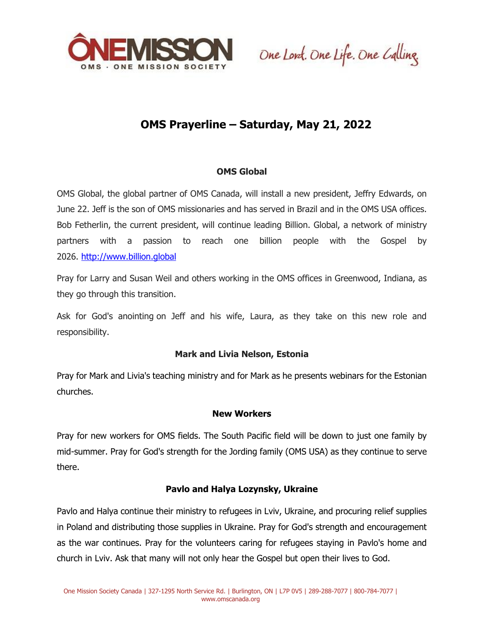

One Lord. One Life. One Calling.

# **OMS Prayerline – Saturday, May 21, 2022**

## **OMS Global**

OMS Global, the global partner of OMS Canada, will install a new president, Jeffry Edwards, on June 22. Jeff is the son of OMS missionaries and has served in Brazil and in the OMS USA offices. Bob Fetherlin, the current president, will continue leading Billion. Global, a network of ministry partners with a passion to reach one billion people with the Gospel by 2026. [http://www.billion.global](https://app.k6222f.com/click?ld=GAeASIr%2FMOQssnHG%2BXjNIuXbB8LCZrp8s2p4g7kL5wtTfh7bnW8w3w4eA3uzoGYzADD1GlBcweQ%3D1)

Pray for Larry and Susan Weil and others working in the OMS offices in Greenwood, Indiana, as they go through this transition.

Ask for God's anointing on Jeff and his wife, Laura, as they take on this new role and responsibility.

### **Mark and Livia Nelson, Estonia**

Pray for Mark and Livia's teaching ministry and for Mark as he presents webinars for the Estonian churches.

### **New Workers**

Pray for new workers for OMS fields. The South Pacific field will be down to just one family by mid-summer. Pray for God's strength for the Jording family (OMS USA) as they continue to serve there.

### **Pavlo and Halya Lozynsky, Ukraine**

Pavlo and Halya continue their ministry to refugees in Lviv, Ukraine, and procuring relief supplies in Poland and distributing those supplies in Ukraine. Pray for God's strength and encouragement as the war continues. Pray for the volunteers caring for refugees staying in Pavlo's home and church in Lviv. Ask that many will not only hear the Gospel but open their lives to God.